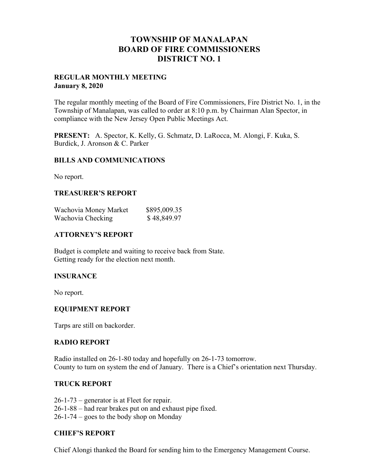# **TOWNSHIP OF MANALAPAN BOARD OF FIRE COMMISSIONERS DISTRICT NO. 1**

### **REGULAR MONTHLY MEETING January 8, 2020**

The regular monthly meeting of the Board of Fire Commissioners, Fire District No. 1, in the Township of Manalapan, was called to order at 8:10 p.m. by Chairman Alan Spector, in compliance with the New Jersey Open Public Meetings Act.

**PRESENT:** A. Spector, K. Kelly, G. Schmatz, D. LaRocca, M. Alongi, F. Kuka, S. Burdick, J. Aronson & C. Parker

### **BILLS AND COMMUNICATIONS**

No report.

### **TREASURER'S REPORT**

| Wachovia Money Market | \$895,009.35 |
|-----------------------|--------------|
| Wachovia Checking     | \$48,849.97  |

#### **ATTORNEY'S REPORT**

Budget is complete and waiting to receive back from State. Getting ready for the election next month.

### **INSURANCE**

No report.

### **EQUIPMENT REPORT**

Tarps are still on backorder.

### **RADIO REPORT**

Radio installed on 26-1-80 today and hopefully on 26-1-73 tomorrow. County to turn on system the end of January. There is a Chief's orientation next Thursday.

### **TRUCK REPORT**

26-1-73 – generator is at Fleet for repair. 26-1-88 – had rear brakes put on and exhaust pipe fixed. 26-1-74 – goes to the body shop on Monday

# **CHIEF'S REPORT**

Chief Alongi thanked the Board for sending him to the Emergency Management Course.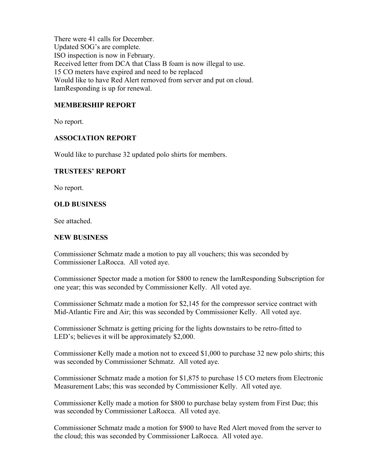There were 41 calls for December. Updated SOG's are complete. ISO inspection is now in February. Received letter from DCA that Class B foam is now illegal to use. 15 CO meters have expired and need to be replaced Would like to have Red Alert removed from server and put on cloud. IamResponding is up for renewal.

## **MEMBERSHIP REPORT**

No report.

### **ASSOCIATION REPORT**

Would like to purchase 32 updated polo shirts for members.

#### **TRUSTEES' REPORT**

No report.

### **OLD BUSINESS**

See attached.

#### **NEW BUSINESS**

Commissioner Schmatz made a motion to pay all vouchers; this was seconded by Commissioner LaRocca. All voted aye.

Commissioner Spector made a motion for \$800 to renew the IamResponding Subscription for one year; this was seconded by Commissioner Kelly. All voted aye.

Commissioner Schmatz made a motion for \$2,145 for the compressor service contract with Mid-Atlantic Fire and Air; this was seconded by Commissioner Kelly. All voted aye.

Commissioner Schmatz is getting pricing for the lights downstairs to be retro-fitted to LED's; believes it will be approximately \$2,000.

Commissioner Kelly made a motion not to exceed \$1,000 to purchase 32 new polo shirts; this was seconded by Commissioner Schmatz. All voted aye.

Commissioner Schmatz made a motion for \$1,875 to purchase 15 CO meters from Electronic Measurement Labs; this was seconded by Commissioner Kelly. All voted aye.

Commissioner Kelly made a motion for \$800 to purchase belay system from First Due; this was seconded by Commissioner LaRocca. All voted aye.

Commissioner Schmatz made a motion for \$900 to have Red Alert moved from the server to the cloud; this was seconded by Commissioner LaRocca. All voted aye.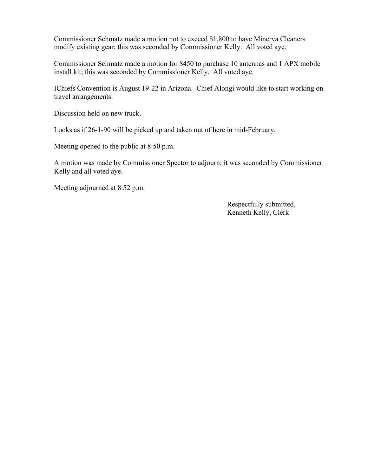Commissioner Schmatz made a motion not to exceed \$1,800 to have Minerva Cleaners modify existing gear; this was seconded by Commissioner Kelly. All voted aye.

Commissioner Schmatz made a motion for \$450 to purchase 10 antennas and 1 APX mobile install kit; this was seconded by Commissioner Kelly. All voted aye.

IChiefs Convention is August 19-22 in Arizona. Chief Alongi would like to start working on travel arrangements.

Discussion held on new truck.

Looks as if 26-1-90 will be picked up and taken out of here in mid-February.

Meeting opened to the public at 8:50 p.m.

A motion was made by Commissioner Spector to adjourn; it was seconded by Commissioner Kelly and all voted aye.

Meeting adjourned at 8:52 p.m.

 Respectfully submitted, Kenneth Kelly, Clerk